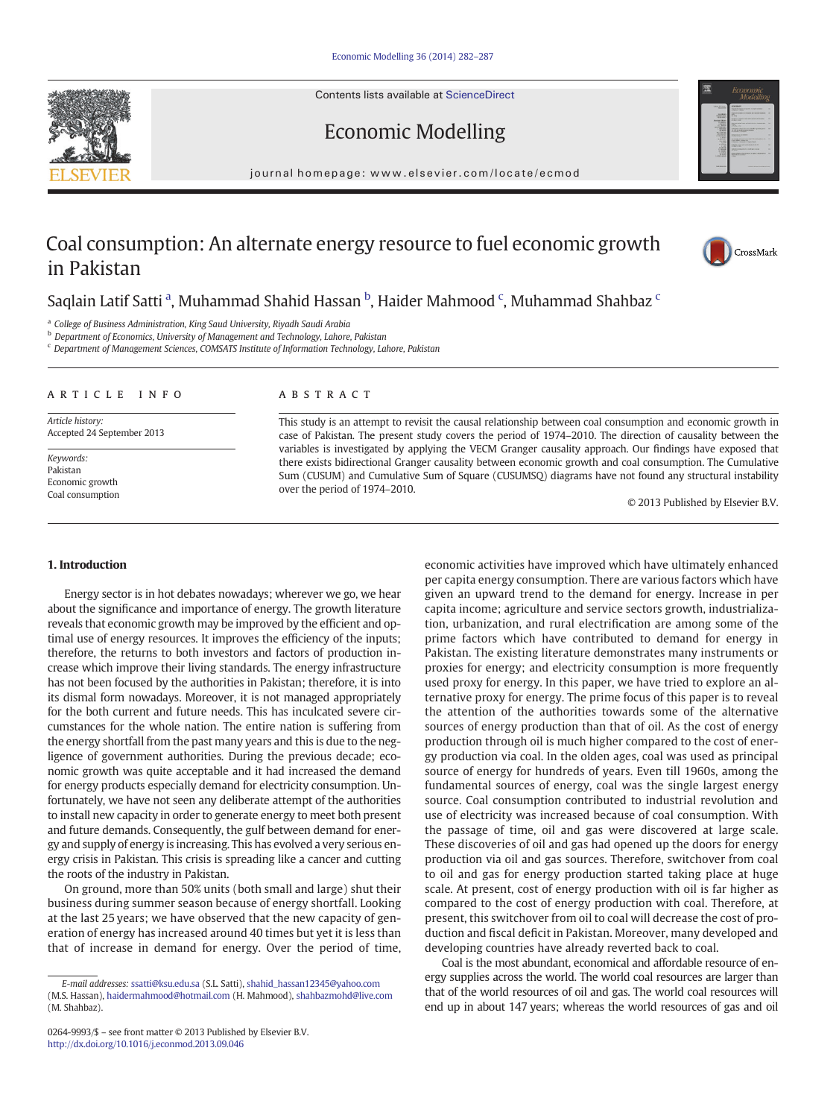Contents lists available at [ScienceDirect](http://www.sciencedirect.com/science/journal/02649993)





# Economic Modelling

journal homepage: www.elsevier.com/locate/ecmod

# Coal consumption: An alternate energy resource to fuel economic growth in Pakistan



## Saqlain Latif Satti <sup>a</sup>, Muhammad Shahid Hassan <sup>b</sup>, Haider Mahmood <sup>c</sup>, Muhammad Shahbaz <sup>c</sup>

<sup>a</sup> College of Business Administration, King Saud University, Riyadh Saudi Arabia

**b** Department of Economics, University of Management and Technology, Lahore, Pakistan

<sup>c</sup> Department of Management Sciences, COMSATS Institute of Information Technology, Lahore, Pakistan

#### article info abstract

Article history: Accepted 24 September 2013

Keywords: Pakistan Economic growth Coal consumption

This study is an attempt to revisit the causal relationship between coal consumption and economic growth in case of Pakistan. The present study covers the period of 1974–2010. The direction of causality between the variables is investigated by applying the VECM Granger causality approach. Our findings have exposed that there exists bidirectional Granger causality between economic growth and coal consumption. The Cumulative Sum (CUSUM) and Cumulative Sum of Square (CUSUMSQ) diagrams have not found any structural instability over the period of 1974–2010.

© 2013 Published by Elsevier B.V.

#### 1. Introduction

Energy sector is in hot debates nowadays; wherever we go, we hear about the significance and importance of energy. The growth literature reveals that economic growth may be improved by the efficient and optimal use of energy resources. It improves the efficiency of the inputs; therefore, the returns to both investors and factors of production increase which improve their living standards. The energy infrastructure has not been focused by the authorities in Pakistan; therefore, it is into its dismal form nowadays. Moreover, it is not managed appropriately for the both current and future needs. This has inculcated severe circumstances for the whole nation. The entire nation is suffering from the energy shortfall from the past many years and this is due to the negligence of government authorities. During the previous decade; economic growth was quite acceptable and it had increased the demand for energy products especially demand for electricity consumption. Unfortunately, we have not seen any deliberate attempt of the authorities to install new capacity in order to generate energy to meet both present and future demands. Consequently, the gulf between demand for energy and supply of energy is increasing. This has evolved a very serious energy crisis in Pakistan. This crisis is spreading like a cancer and cutting the roots of the industry in Pakistan.

On ground, more than 50% units (both small and large) shut their business during summer season because of energy shortfall. Looking at the last 25 years; we have observed that the new capacity of generation of energy has increased around 40 times but yet it is less than that of increase in demand for energy. Over the period of time,

economic activities have improved which have ultimately enhanced per capita energy consumption. There are various factors which have given an upward trend to the demand for energy. Increase in per capita income; agriculture and service sectors growth, industrialization, urbanization, and rural electrification are among some of the prime factors which have contributed to demand for energy in Pakistan. The existing literature demonstrates many instruments or proxies for energy; and electricity consumption is more frequently used proxy for energy. In this paper, we have tried to explore an alternative proxy for energy. The prime focus of this paper is to reveal the attention of the authorities towards some of the alternative sources of energy production than that of oil. As the cost of energy production through oil is much higher compared to the cost of energy production via coal. In the olden ages, coal was used as principal source of energy for hundreds of years. Even till 1960s, among the fundamental sources of energy, coal was the single largest energy source. Coal consumption contributed to industrial revolution and use of electricity was increased because of coal consumption. With the passage of time, oil and gas were discovered at large scale. These discoveries of oil and gas had opened up the doors for energy production via oil and gas sources. Therefore, switchover from coal to oil and gas for energy production started taking place at huge scale. At present, cost of energy production with oil is far higher as compared to the cost of energy production with coal. Therefore, at present, this switchover from oil to coal will decrease the cost of production and fiscal deficit in Pakistan. Moreover, many developed and developing countries have already reverted back to coal.

Coal is the most abundant, economical and affordable resource of energy supplies across the world. The world coal resources are larger than that of the world resources of oil and gas. The world coal resources will end up in about 147 years; whereas the world resources of gas and oil

E-mail addresses: [ssatti@ksu.edu.sa](mailto:ssatti@ksu.edu.sa) (S.L. Satti), [shahid\\_hassan12345@yahoo.com](mailto:shahid_hassan12345@yahoo.com) (M.S. Hassan), [haidermahmood@hotmail.com](mailto:haidermahmood@hotmail.com) (H. Mahmood), [shahbazmohd@live.com](mailto:shahbazmohd@live.com) (M. Shahbaz).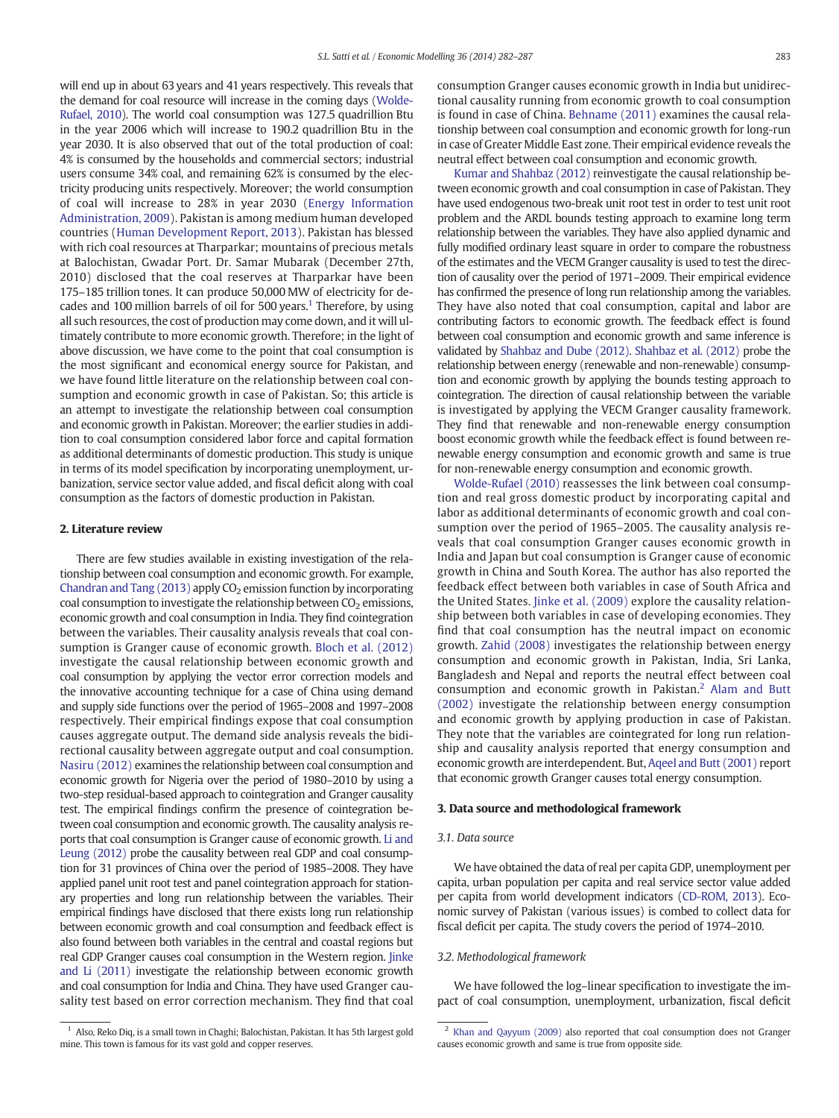will end up in about 63 years and 41 years respectively. This reveals that the demand for coal resource will increase in the coming days [\(Wolde-](#page--1-0)[Rufael, 2010](#page--1-0)). The world coal consumption was 127.5 quadrillion Btu in the year 2006 which will increase to 190.2 quadrillion Btu in the year 2030. It is also observed that out of the total production of coal: 4% is consumed by the households and commercial sectors; industrial users consume 34% coal, and remaining 62% is consumed by the electricity producing units respectively. Moreover; the world consumption of coal will increase to 28% in year 2030 ([Energy Information](#page--1-0) [Administration, 2009\)](#page--1-0). Pakistan is among medium human developed countries ([Human Development Report, 2013](#page--1-0)). Pakistan has blessed with rich coal resources at Tharparkar; mountains of precious metals at Balochistan, Gwadar Port. Dr. Samar Mubarak (December 27th, 2010) disclosed that the coal reserves at Tharparkar have been 175–185 trillion tones. It can produce 50,000 MW of electricity for decades and 100 million barrels of oil for 500 years.<sup>1</sup> Therefore, by using all such resources, the cost of production may come down, and it will ultimately contribute to more economic growth. Therefore; in the light of above discussion, we have come to the point that coal consumption is the most significant and economical energy source for Pakistan, and we have found little literature on the relationship between coal consumption and economic growth in case of Pakistan. So; this article is an attempt to investigate the relationship between coal consumption and economic growth in Pakistan. Moreover; the earlier studies in addition to coal consumption considered labor force and capital formation as additional determinants of domestic production. This study is unique in terms of its model specification by incorporating unemployment, urbanization, service sector value added, and fiscal deficit along with coal consumption as the factors of domestic production in Pakistan.

### 2. Literature review

There are few studies available in existing investigation of the relationship between coal consumption and economic growth. For example, Chandran and Tang  $(2013)$  apply CO<sub>2</sub> emission function by incorporating coal consumption to investigate the relationship between  $CO<sub>2</sub>$  emissions, economic growth and coal consumption in India. They find cointegration between the variables. Their causality analysis reveals that coal consumption is Granger cause of economic growth. [Bloch et al. \(2012\)](#page--1-0) investigate the causal relationship between economic growth and coal consumption by applying the vector error correction models and the innovative accounting technique for a case of China using demand and supply side functions over the period of 1965–2008 and 1997–2008 respectively. Their empirical findings expose that coal consumption causes aggregate output. The demand side analysis reveals the bidirectional causality between aggregate output and coal consumption. [Nasiru \(2012\)](#page--1-0) examines the relationship between coal consumption and economic growth for Nigeria over the period of 1980–2010 by using a two-step residual-based approach to cointegration and Granger causality test. The empirical findings confirm the presence of cointegration between coal consumption and economic growth. The causality analysis reports that coal consumption is Granger cause of economic growth. [Li and](#page--1-0) [Leung \(2012\)](#page--1-0) probe the causality between real GDP and coal consumption for 31 provinces of China over the period of 1985–2008. They have applied panel unit root test and panel cointegration approach for stationary properties and long run relationship between the variables. Their empirical findings have disclosed that there exists long run relationship between economic growth and coal consumption and feedback effect is also found between both variables in the central and coastal regions but real GDP Granger causes coal consumption in the Western region. [Jinke](#page--1-0) [and Li \(2011\)](#page--1-0) investigate the relationship between economic growth and coal consumption for India and China. They have used Granger causality test based on error correction mechanism. They find that coal consumption Granger causes economic growth in India but unidirectional causality running from economic growth to coal consumption is found in case of China. [Behname \(2011\)](#page--1-0) examines the causal relationship between coal consumption and economic growth for long-run in case of Greater Middle East zone. Their empirical evidence reveals the neutral effect between coal consumption and economic growth.

[Kumar and Shahbaz \(2012\)](#page--1-0) reinvestigate the causal relationship between economic growth and coal consumption in case of Pakistan. They have used endogenous two-break unit root test in order to test unit root problem and the ARDL bounds testing approach to examine long term relationship between the variables. They have also applied dynamic and fully modified ordinary least square in order to compare the robustness of the estimates and the VECM Granger causality is used to test the direction of causality over the period of 1971–2009. Their empirical evidence has confirmed the presence of long run relationship among the variables. They have also noted that coal consumption, capital and labor are contributing factors to economic growth. The feedback effect is found between coal consumption and economic growth and same inference is validated by [Shahbaz and Dube \(2012\).](#page--1-0) [Shahbaz et al. \(2012\)](#page--1-0) probe the relationship between energy (renewable and non-renewable) consumption and economic growth by applying the bounds testing approach to cointegration. The direction of causal relationship between the variable is investigated by applying the VECM Granger causality framework. They find that renewable and non-renewable energy consumption boost economic growth while the feedback effect is found between renewable energy consumption and economic growth and same is true for non-renewable energy consumption and economic growth.

[Wolde-Rufael \(2010\)](#page--1-0) reassesses the link between coal consumption and real gross domestic product by incorporating capital and labor as additional determinants of economic growth and coal consumption over the period of 1965–2005. The causality analysis reveals that coal consumption Granger causes economic growth in India and Japan but coal consumption is Granger cause of economic growth in China and South Korea. The author has also reported the feedback effect between both variables in case of South Africa and the United States. [Jinke et al. \(2009\)](#page--1-0) explore the causality relationship between both variables in case of developing economies. They find that coal consumption has the neutral impact on economic growth. [Zahid \(2008\)](#page--1-0) investigates the relationship between energy consumption and economic growth in Pakistan, India, Sri Lanka, Bangladesh and Nepal and reports the neutral effect between coal consumption and economic growth in Pakistan.<sup>2</sup> [Alam and Butt](#page--1-0) [\(2002\)](#page--1-0) investigate the relationship between energy consumption and economic growth by applying production in case of Pakistan. They note that the variables are cointegrated for long run relationship and causality analysis reported that energy consumption and economic growth are interdependent. But, [Aqeel and Butt \(2001\)](#page--1-0) report that economic growth Granger causes total energy consumption.

#### 3. Data source and methodological framework

#### 3.1. Data source

We have obtained the data of real per capita GDP, unemployment per capita, urban population per capita and real service sector value added per capita from world development indicators ([CD-ROM, 2013\)](#page--1-0). Economic survey of Pakistan (various issues) is combed to collect data for fiscal deficit per capita. The study covers the period of 1974–2010.

#### 3.2. Methodological framework

We have followed the log–linear specification to investigate the impact of coal consumption, unemployment, urbanization, fiscal deficit

 $1$  Also, Reko Diq, is a small town in Chaghi; Balochistan, Pakistan. It has 5th largest gold mine. This town is famous for its vast gold and copper reserves.

<sup>&</sup>lt;sup>2</sup> [Khan and Qayyum \(2009\)](#page--1-0) also reported that coal consumption does not Granger causes economic growth and same is true from opposite side.